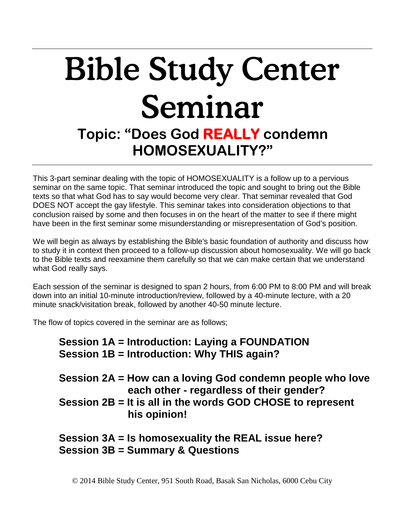# Bible Study Center Seminar **Topic: "Does God REALLY condemn**

## **HOMOSEXUALITY?"**

This 3-part seminar dealing with the topic of HOMOSEXUALITY is a follow up to a pervious seminar on the same topic. That seminar introduced the topic and sought to bring out the Bible texts so that what God has to say would become very clear. That seminar revealed that God DOES NOT accept the gay lifestyle. This seminar takes into consideration objections to that conclusion raised by some and then focuses in on the heart of the matter to see if there might have been in the first seminar some misunderstanding or misrepresentation of God's position.

We will begin as always by establishing the Bible's basic foundation of authority and discuss how to study it in context then proceed to a follow-up discussion about homosexuality. We will go back to the Bible texts and reexamine them carefully so that we can make certain that we understand what God really says.

Each session of the seminar is designed to span 2 hours, from 6:00 PM to 8:00 PM and will break down into an initial 10-minute introduction/review, followed by a 40-minute lecture, with a 20 minute snack/visitation break, followed by another 40-50 minute lecture.

The flow of topics covered in the seminar are as follows;

### **Session 1A = Introduction: Laying a FOUNDATION Session 1B = Introduction: Why THIS again?**

**Session 2A = How can a loving God condemn people who love each other - regardless of their gender? Session 2B = It is all in the words GOD CHOSE to represent his opinion!**

### **Session 3A = Is homosexuality the REAL issue here? Session 3B = Summary & Questions**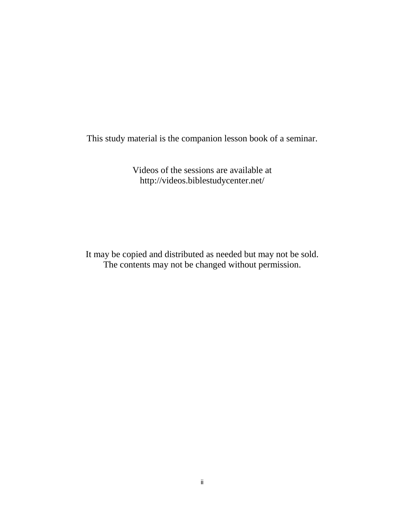This study material is the companion lesson book of a seminar.

Videos of the sessions are available at http://videos.biblestudycenter.net/

It may be copied and distributed as needed but may not be sold. The contents may not be changed without permission.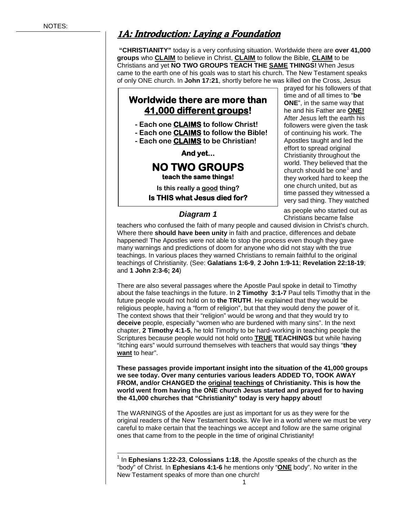### 1A: Introduction: Laying a Foundation

**"CHRISTIANITY"** today is a very confusing situation. Worldwide there are **over 41,000 groups** who **CLAIM** to believe in Christ, **CLAIM** to follow the Bible, **CLAIM** to be Christians and yet **NO TWO GROUPS TEACH THE SAME THINGS!** When Jesus came to the earth one of his goals was to start his church. The New Testament speaks of only ONE church. In **John 17:21**, shortly before he was killed on the Cross, Jesus

### **Worldwide there are more than 41,000 different groups!**

- **- Each one CLAIMS to follow Christ!**
- **- Each one CLAIMS to follow the Bible!**
- **- Each one CLAIMS to be Christian!**

**And yet...** 

# **NO TWO GROUPS teach the same things!**

**Is this really a good thing? Is THIS what Jesus died for?** 

#### *Diagram 1*

prayed for his followers of that time and of all times to "**be ONE**", in the same way that he and his Father are **ONE!** After Jesus left the earth his followers were given the task of continuing his work. The Apostles taught and led the effort to spread original Christianity throughout the world. They believed that the church should be one<sup> $1$ </sup> and they worked hard to keep the one church united, but as time passed they witnessed a very sad thing. They watched

as people who started out as Christians became false

teachers who confused the faith of many people and caused division in Christ's church. Where there **should have been unity** in faith and practice, differences and debate happened! The Apostles were not able to stop the process even though they gave many warnings and predictions of doom for anyone who did not stay with the true teachings. In various places they warned Christians to remain faithful to the original teachings of Christianity. (See: **Galatians 1:6-9**, **2 John 1:9-11**; **Revelation 22:18-19**; and **1 John 2:3-6; 24**)

There are also several passages where the Apostle Paul spoke in detail to Timothy about the false teachings in the future. In **2 Timothy 3:1-7** Paul tells Timothy that in the future people would not hold on to **the TRUTH**. He explained that they would be religious people, having a "form of religion", but that they would deny the power of it. The context shows that their "religion" would be wrong and that they would try to **deceive** people, especially "women who are burdened with many sins". In the next chapter, **2 Timothy 4:1-5**, he told Timothy to be hard-working in teaching people the Scriptures because people would not hold onto **TRUE TEACHINGS** but while having "itching ears" would surround themselves with teachers that would say things "**they want** to hear".

**These passages provide important insight into the situation of the 41,000 groups we see today. Over many centuries various leaders ADDED TO, TOOK AWAY FROM, and/or CHANGED the original teachings of Christianity. This is how the world went from having the ONE church Jesus started and prayed for to having the 41,000 churches that "Christianity" today is very happy about!**

The WARNINGS of the Apostles are just as important for us as they were for the original readers of the New Testament books. We live in a world where we must be very careful to make certain that the teachings we accept and follow are the same original ones that came from to the people in the time of original Christianity!

<span id="page-2-0"></span> <sup>1</sup> In **Ephesians 1:22-23**, **Colossians 1:18**, the Apostle speaks of the church as the "body" of Christ. In **Ephesians 4:1-6** he mentions only "**ONE** body". No writer in the New Testament speaks of more than one church!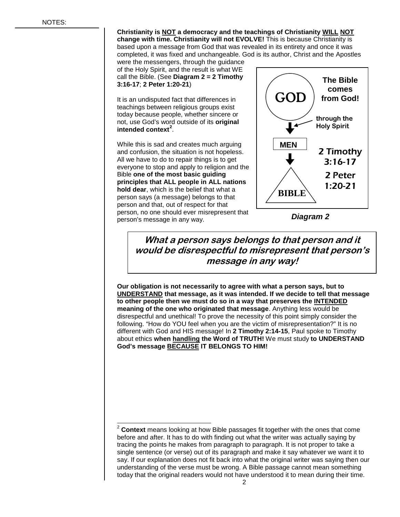**Christianity is NOT a democracy and the teachings of Christianity WILL NOT change with time. Christianity will not EVOLVE!** This is because Christianity is based upon a message from God that was revealed in its entirety and once it was completed, it was fixed and unchangeable. God is its author, Christ and the Apostles

were the messengers, through the guidance of the Holy Spirit, and the result is what WE call the Bible. (See **Diagram 2 = 2 Timothy 3:16-17**; **2 Peter 1:20-21**)

It is an undisputed fact that differences in teachings between religious groups exist today because people, whether sincere or not, use God's word outside of its **original intended context[2](#page-3-0)** .

While this is sad and creates much arguing and confusion, the situation is not hopeless. All we have to do to repair things is to get everyone to stop and apply to religion and the Bible **one of the most basic guiding principles that ALL people in ALL nations hold dear**, which is the belief that what a person says (a message) belongs to that person and that, out of respect for that person, no one should ever misrepresent that person's message in any way.



*Diagram 2*

**What a person says belongs to that person and it would be disrespectful to misrepresent that person's message in any way!**

**Our obligation is not necessarily to agree with what a person says, but to UNDERSTAND that message, as it was intended. If we decide to tell that message to other people then we must do so in a way that preserves the INTENDED meaning of the one who originated that message**. Anything less would be disrespectful and unethical! To prove the necessity of this point simply consider the following. "How do YOU feel when you are the victim of misrepresentation?" It is no different with God and HIS message! In **2 Timothy 2:14-15**, Paul spoke to Timothy about ethics **when handling the Word of TRUTH!** We must study **to UNDERSTAND God's message BECAUSE IT BELONGS TO HIM!**

<span id="page-3-0"></span> <sup>2</sup> **Context** means looking at how Bible passages fit together with the ones that come before and after. It has to do with finding out what the writer was actually saying by tracing the points he makes from paragraph to paragraph. It is not proper to take a single sentence (or verse) out of its paragraph and make it say whatever we want it to say. If our explanation does not fit back into what the original writer was saying then our understanding of the verse must be wrong. A Bible passage cannot mean something today that the original readers would not have understood it to mean during their time.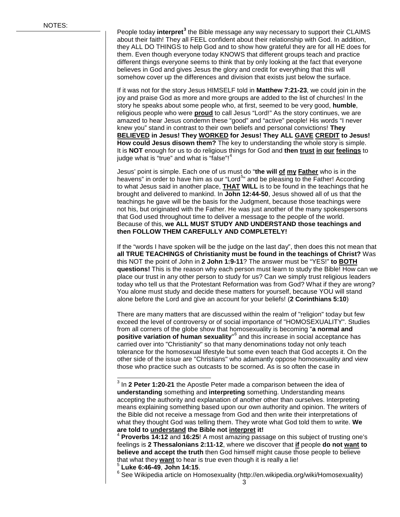People today **interpret[3](#page-4-0)** the Bible message any way necessary to support their CLAIMS about their faith! They all FEEL confident about their relationship with God. In addition, they ALL DO THINGS to help God and to show how grateful they are for all HE does for them. Even though everyone today KNOWS that different groups teach and practice different things everyone seems to think that by only looking at the fact that everyone believes in God and gives Jesus the glory and credit for everything that this will somehow cover up the differences and division that exists just below the surface.

If it was not for the story Jesus HIMSELF told in **Matthew 7:21-23**, we could join in the joy and praise God as more and more groups are added to the list of churches! In the story he speaks about some people who, at first, seemed to be very good, **humble**, religious people who were **proud** to call Jesus "Lord!" As the story continues, we are amazed to hear Jesus condemn these "good" and "active" people! His words "I never knew you" stand in contrast to their own beliefs and personal convictions! **They BELIEVED in Jesus! They WORKED for Jesus! They ALL GAVE CREDIT to Jesus! How could Jesus disown them?** The key to understanding the whole story is simple. It is **NOT** enough for us to do religious things for God and **then trust in our feelings** to judge what is "true" and what is "false"!<sup>[4](#page-4-1)</sup>

Jesus' point is simple. Each one of us must do "**the will of my Father** who is in the heavens" in order to have him as our "Lord<sup>[5](#page-4-2)</sup>" and be pleasing to the Father! According to what Jesus said in another place, **THAT WILL** is to be found in the teachings that he brought and delivered to mankind. In **John 12:44-50**, Jesus showed all of us that the teachings he gave will be the basis for the Judgment, because those teachings were not his, but originated with the Father. He was just another of the many spokespersons that God used throughout time to deliver a message to the people of the world. Because of this, **we ALL MUST STUDY AND UNDERSTAND those teachings and then FOLLOW THEM CAREFULLY AND COMPLETELY!**

If the "words I have spoken will be the judge on the last day", then does this not mean that **all TRUE TEACHINGS of Christianity must be found in the teachings of Christ?** Was this NOT the point of John in **2 John 1:9-11**? The answer must be "YES!" **to BOTH questions!** This is the reason why each person must learn to study the Bible! How can we place our trust in any other person to study for us? Can we simply trust religious leaders today who tell us that the Protestant Reformation was from God? What if they are wrong? You alone must study and decide these matters for yourself, because YOU will stand alone before the Lord and give an account for your beliefs! (**2 Corinthians 5:10**)

There are many matters that are discussed within the realm of "religion" today but few exceed the level of controversy or of social importance of "HOMOSEXUALITY". Studies from all corners of the globe show that homosexuality is becoming "**a normal and positive variation of human sexuality**" [6](#page-4-3) and this increase in social acceptance has carried over into "Christianity" so that many denominations today not only teach tolerance for the homosexual lifestyle but some even teach that God accepts it. On the other side of the issue are "Christians" who adamantly oppose homosexuality and view those who practice such as outcasts to be scorned. As is so often the case in

<span id="page-4-3"></span><span id="page-4-2"></span>

that what they <u>want</u> to hear is true even though it is really a lie!<br><sup>5</sup> Luke 6:46-49, John 14:15.<br><sup>6</sup> See Wikipedia article on Homosexuality (http://en.wikipedia.org/wiki/Homosexuality)

<span id="page-4-0"></span> <sup>3</sup> In **2 Peter 1:20-21** the Apostle Peter made a comparison between the idea of **understanding** something and **interpreting** something. Understanding means accepting the authority and explanation of another other than ourselves. Interpreting means explaining something based upon our own authority and opinion. The writers of the Bible did not receive a message from God and then write their interpretations of what they thought God was telling them. They wrote what God told them to write. **We are told to understand the Bible not interpret it!**

<span id="page-4-1"></span><sup>4</sup> **Proverbs 14:12** and **16:25**! A most amazing passage on this subject of trusting one's feelings is **2 Thessalonians 2:11-12**, where we discover that **if** people **do not want to believe and accept the truth** then God himself might cause those people to believe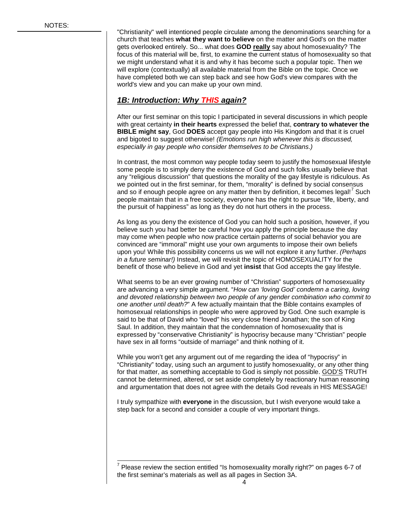"Christianity" well intentioned people circulate among the denominations searching for a church that teaches **what they want to believe** on the matter and God's on the matter gets overlooked entirely. So... what does **GOD really** say about homosexuality? The focus of this material will be, first, to examine the current status of homosexuality so that we might understand what it is and why it has become such a popular topic. Then we will explore (contextually) all available material from the Bible on the topic. Once we have completed both we can step back and see how God's view compares with the world's view and you can make up your own mind.

#### *1B: Introduction: Why THIS again?*

After our first seminar on this topic I participated in several discussions in which people with great certainty **in their hearts** expressed the belief that, **contrary to whatever the BIBLE might say**, God **DOES** accept gay people into His Kingdom and that it is cruel and bigoted to suggest otherwise! *(Emotions run high whenever this is discussed, especially in gay people who consider themselves to be Christians.)*

In contrast, the most common way people today seem to justify the homosexual lifestyle some people is to simply deny the existence of God and such folks usually believe that any "religious discussion" that questions the morality of the gay lifestyle is ridiculous. As we pointed out in the first seminar, for them, "morality" is defined by social consensus and so if enough people agree on any matter then by definition, it becomes legal! Such people maintain that in a free society, everyone has the right to pursue "life, liberty, and the pursuit of happiness" as long as they do not hurt others in the process.

As long as you deny the existence of God you can hold such a position, however, if you believe such you had better be careful how you apply the principle because the day may come when people who now practice certain patterns of social behavior you are convinced are "immoral" might use your own arguments to impose their own beliefs upon you! While this possibility concerns us we will not explore it any further. *(Perhaps in a future seminar!)* Instead, we will revisit the topic of HOMOSEXUALITY for the benefit of those who believe in God and yet **insist** that God accepts the gay lifestyle.

What seems to be an ever growing number of "Christian" supporters of homosexuality are advancing a very simple argument. "*How can 'loving God' condemn a caring, loving and devoted relationship between two people of any gender combination who commit to one another until death?*" A few actually maintain that the Bible contains examples of homosexual relationships in people who were approved by God. One such example is said to be that of David who "loved" his very close friend Jonathan; the son of King Saul. In addition, they maintain that the condemnation of homosexuality that is expressed by "conservative Christianity" is hypocrisy because many "Christian" people have sex in all forms "outside of marriage" and think nothing of it.

While you won't get any argument out of me regarding the idea of "hypocrisy" in "Christianity" today, using such an argument to justify homosexuality, or any other thing for that matter, as something acceptable to God is simply not possible. GOD'S TRUTH cannot be determined, altered, or set aside completely by reactionary human reasoning and argumentation that does not agree with the details God reveals in HIS MESSAGE!

I truly sympathize with **everyone** in the discussion, but I wish everyone would take a step back for a second and consider a couple of very important things.

<span id="page-5-0"></span> $7$  Please review the section entitled "Is homosexuality morally right?" on pages 6-7 of the first seminar's materials as well as all pages in Section 3A.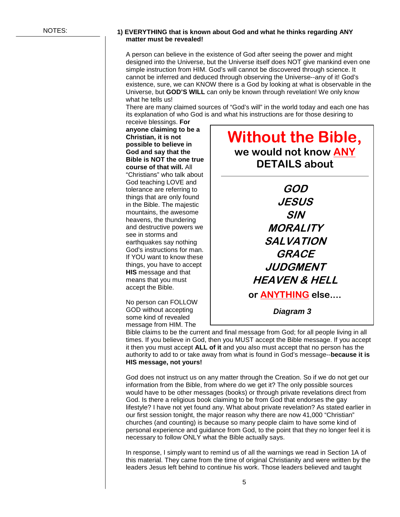#### **1) EVERYTHING that is known about God and what he thinks regarding ANY matter must be revealed!**

A person can believe in the existence of God after seeing the power and might designed into the Universe, but the Universe itself does NOT give mankind even one simple instruction from HIM. God's will cannot be discovered through science. It cannot be inferred and deduced through observing the Universe--any of it! God's existence, sure, we can KNOW there is a God by looking at what is observable in the Universe, but **GOD'S WILL** can only be known through revelation! We only know what he tells us!

There are many claimed sources of "God's will" in the world today and each one has its explanation of who God is and what his instructions are for those desiring to

receive blessings. **For anyone claiming to be a Christian, it is not possible to believe in God and say that the Bible is NOT the one true course of that will.** All "Christians" who talk about God teaching LOVE and tolerance are referring to things that are only found in the Bible. The majestic mountains, the awesome heavens, the thundering and destructive powers we see in storms and earthquakes say nothing God's instructions for man. If YOU want to know these things, you have to accept **HIS** message and that means that you must accept the Bible.

No person can FOLLOW GOD without accepting some kind of revealed message from HIM. The

### **Without the Bible, we would not know ANY DETAILS about**

**GOD JESUS SIN MORALITY SALVATION GRACE JUDGMENT HEAVEN & HELL or ANYTHING else....**

*Diagram 3*

Bible claims to be the current and final message from God; for all people living in all times. If you believe in God, then you MUST accept the Bible message. If you accept it then you must accept **ALL of it** and you also must accept that no person has the authority to add to or take away from what is found in God's message--**because it is HIS message, not yours!**

God does not instruct us on any matter through the Creation. So if we do not get our information from the Bible, from where do we get it? The only possible sources would have to be other messages (books) or through private revelations direct from God. Is there a religious book claiming to be from God that endorses the gay lifestyle? I have not yet found any. What about private revelation? As stated earlier in our first session tonight, the major reason why there are now 41,000 "Christian" churches (and counting) is because so many people claim to have some kind of personal experience and guidance from God, to the point that they no longer feel it is necessary to follow ONLY what the Bible actually says.

In response, I simply want to remind us of all the warnings we read in Section 1A of this material. They came from the time of original Christianity and were written by the leaders Jesus left behind to continue his work. Those leaders believed and taught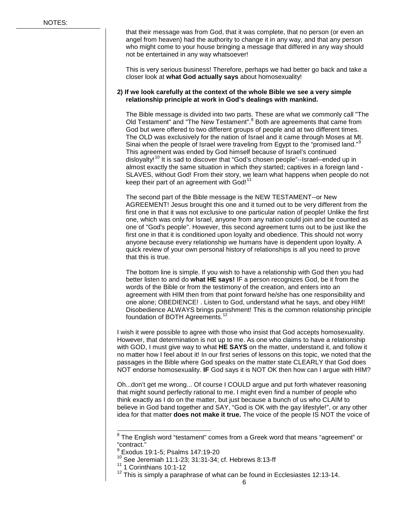that their message was from God, that it was complete, that no person (or even an angel from heaven) had the authority to change it in any way, and that any person who might come to your house bringing a message that differed in any way should not be entertained in any way whatsoever!

This is very serious business! Therefore, perhaps we had better go back and take a closer look at **what God actually says** about homosexuality!

#### **2) If we look carefully at the context of the whole Bible we see a very simple relationship principle at work in God's dealings with mankind.**

The Bible message is divided into two parts. These are what we commonly call "The Old Testament" and "The New Testament".<sup>[8](#page-7-0)</sup> Both are agreements that came from God but were offered to two different groups of people and at two different times. The OLD was exclusively for the nation of Israel and it came through Moses at Mt. Sinai when the people of Israel were traveling from Egypt to the "promised land."<sup>[9](#page-7-1)</sup> This agreement was ended by God himself because of Israel's continued disloyalty!<sup>[10](#page-7-2)</sup> It is sad to discover that "God's chosen people"--Israel--ended up in almost exactly the same situation in which they started; captives in a foreign land - SLAVES, without God! From their story, we learn what happens when people do not keep their part of an agreement with God!<sup>[11](#page-7-3)</sup>

The second part of the Bible message is the NEW TESTAMENT--or New AGREEMENT! Jesus brought this one and it turned out to be very different from the first one in that it was not exclusive to one particular nation of people! Unlike the first one, which was only for Israel, anyone from any nation could join and be counted as one of "God's people". However, this second agreement turns out to be just like the first one in that it is conditioned upon loyalty and obedience. This should not worry anyone because every relationship we humans have is dependent upon loyalty. A quick review of your own personal history of relationships is all you need to prove that this is true.

The bottom line is simple. If you wish to have a relationship with God then you had better listen to and do **what HE says!** IF a person recognizes God, be it from the words of the Bible or from the testimony of the creation, and enters into an agreement with HIM then from that point forward he/she has one responsibility and one alone; OBEDIENCE! . Listen to God, understand what he says, and obey HIM! Disobedience ALWAYS brings punishment! This is the common relationship principle foundation of BOTH Agreements.<sup>[12](#page-7-4)</sup>

I wish it were possible to agree with those who insist that God accepts homosexuality. However, that determination is not up to me. As one who claims to have a relationship with GOD, I must give way to what **HE SAYS** on the matter, understand it, and follow it no matter how I feel about it! In our first series of lessons on this topic, we noted that the passages in the Bible where God speaks on the matter state CLEARLY that God does NOT endorse homosexuality. **IF** God says it is NOT OK then how can I argue with HIM?

Oh...don't get me wrong... Of course I COULD argue and put forth whatever reasoning that might sound perfectly rational to me. I might even find a number of people who think exactly as I do on the matter, but just because a bunch of us who CLAIM to believe in God band together and SAY, "God is OK with the gay lifestyle!", or any other idea for that matter **does not make it true.** The voice of the people IS NOT the voice of

<span id="page-7-0"></span> $8$  The English word "testament" comes from a Greek word that means "agreement" or "contract."

<sup>9</sup> Exodus 19:1-5; Psalms 147:19-20

<span id="page-7-1"></span><sup>10</sup> See Jeremiah 11:1-23; 31:31-34; cf. Hebrews 8:13-ff

<span id="page-7-4"></span><span id="page-7-3"></span><span id="page-7-2"></span> $11$  1 Corinthians 10:1-12

 $12$  This is simply a paraphrase of what can be found in Ecclesiastes 12:13-14.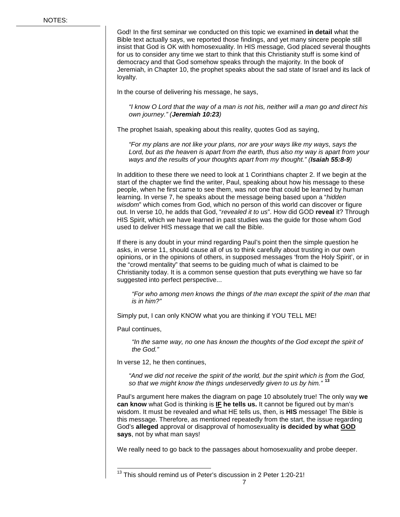God! In the first seminar we conducted on this topic we examined **in detail** what the Bible text actually says, we reported those findings, and yet many sincere people still insist that God is OK with homosexuality. In HIS message, God placed several thoughts for us to consider any time we start to think that this Christianity stuff is some kind of democracy and that God somehow speaks through the majority. In the book of Jeremiah, in Chapter 10, the prophet speaks about the sad state of Israel and its lack of loyalty.

In the course of delivering his message, he says,

*"I know O Lord that the way of a man is not his, neither will a man go and direct his own journey." (Jeremiah 10:23)*

The prophet Isaiah, speaking about this reality, quotes God as saying,

*"For my plans are not like your plans, nor are your ways like my ways, says the Lord, but as the heaven is apart from the earth, thus also my way is apart from your ways and the results of your thoughts apart from my thought." (Isaiah 55:8-9)* 

In addition to these there we need to look at 1 Corinthians chapter 2. If we begin at the start of the chapter we find the writer, Paul, speaking about how his message to these people, when he first came to see them, was not one that could be learned by human learning. In verse 7, he speaks about the message being based upon a "*hidden wisdom*" which comes from God, which no person of this world can discover or figure out. In verse 10, he adds that God, "*revealed it to us*". How did GOD **reveal** it? Through HIS Spirit, which we have learned in past studies was the guide for those whom God used to deliver HIS message that we call the Bible.

If there is any doubt in your mind regarding Paul's point then the simple question he asks, in verse 11, should cause all of us to think carefully about trusting in our own opinions, or in the opinions of others, in supposed messages 'from the Holy Spirit', or in the "crowd mentality" that seems to be guiding much of what is claimed to be Christianity today. It is a common sense question that puts everything we have so far suggested into perfect perspective...

*"For who among men knows the things of the man except the spirit of the man that is in him?"*

Simply put, I can only KNOW what you are thinking if YOU TELL ME!

Paul continues,

*"In the same way, no one has known the thoughts of the God except the spirit of the God."*

In verse 12, he then continues,

*"And we did not receive the spirit of the world, but the spirit which is from the God, so that we might know the things undeservedly given to us by him."* **[13](#page-8-0)**

Paul's argument here makes the diagram on page 10 absolutely true! The only way **we can know** what God is thinking is **IF he tells us.** It cannot be figured out by man's wisdom. It must be revealed and what HE tells us, then, is **HIS** message! The Bible is this message. Therefore, as mentioned repeatedly from the start, the issue regarding God's **alleged** approval or disapproval of homosexuality **is decided by what GOD says**, not by what man says!

We really need to go back to the passages about homosexuality and probe deeper.

<span id="page-8-0"></span><sup>&</sup>lt;sup>13</sup> This should remind us of Peter's discussion in 2 Peter 1:20-21!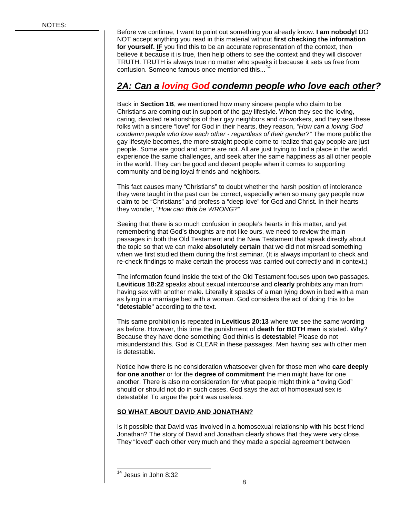Before we continue, I want to point out something you already know. **I am nobody!** DO NOT accept anything you read in this material without **first checking the information for yourself. IF** you find this to be an accurate representation of the context, then believe it because it is true, then help others to see the context and they will discover TRUTH. TRUTH is always true no matter who speaks it because it sets us free from confusion. Someone famous once mentioned this...<sup>[14](#page-9-0)</sup>

### *2A: Can a loving God condemn people who love each other?*

Back in **Section 1B**, we mentioned how many sincere people who claim to be Christians are coming out in support of the gay lifestyle. When they see the loving, caring, devoted relationships of their gay neighbors and co-workers, and they see these folks with a sincere "love" for God in their hearts, they reason, *"How can a loving God condemn people who love each other - regardless of their gender?"* The more public the gay lifestyle becomes, the more straight people come to realize that gay people are just people. Some are good and some are not. All are just trying to find a place in the world, experience the same challenges, and seek after the same happiness as all other people in the world. They can be good and decent people when it comes to supporting community and being loyal friends and neighbors.

This fact causes many "Christians" to doubt whether the harsh position of intolerance they were taught in the past can be correct, especially when so many gay people now claim to be "Christians" and profess a "deep love" for God and Christ. In their hearts they wonder, *"How can this be WRONG?"*

Seeing that there is so much confusion in people's hearts in this matter, and yet remembering that God's thoughts are not like ours, we need to review the main passages in both the Old Testament and the New Testament that speak directly about the topic so that we can make **absolutely certain** that we did not misread something when we first studied them during the first seminar. (It is always important to check and re-check findings to make certain the process was carried out correctly and in context.)

The information found inside the text of the Old Testament focuses upon two passages. **Leviticus 18:22** speaks about sexual intercourse and **clearly** prohibits any man from having sex with another male. Literally it speaks of a man lying down in bed with a man as lying in a marriage bed with a woman. God considers the act of doing this to be "**detestable**" according to the text.

This same prohibition is repeated in **Leviticus 20:13** where we see the same wording as before. However, this time the punishment of **death for BOTH men** is stated. Why? Because they have done something God thinks is **detestable**! Please do not misunderstand this. God is CLEAR in these passages. Men having sex with other men is detestable.

Notice how there is no consideration whatsoever given for those men who **care deeply for one another** or for the **degree of commitment** the men might have for one another. There is also no consideration for what people might think a "loving God" should or should not do in such cases. God says the act of homosexual sex is detestable! To argue the point was useless.

#### **SO WHAT ABOUT DAVID AND JONATHAN?**

Is it possible that David was involved in a homosexual relationship with his best friend Jonathan? The story of David and Jonathan clearly shows that they were very close. They "loved" each other very much and they made a special agreement between

<span id="page-9-0"></span><sup>&</sup>lt;sup>14</sup> Jesus in John 8:32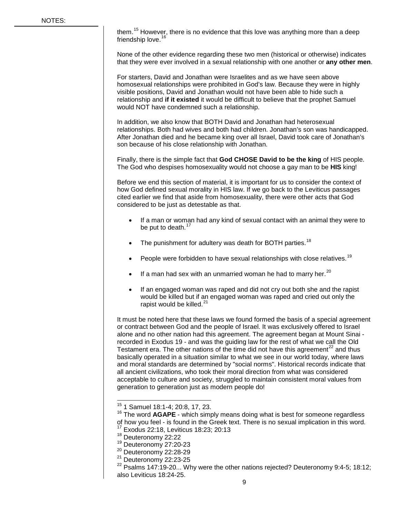them.<sup>[15](#page-10-0)</sup> However, there is no evidence that this love was anything more than a deep friendship love. [16](#page-10-1)

None of the other evidence regarding these two men (historical or otherwise) indicates that they were ever involved in a sexual relationship with one another or **any other men**.

For starters, David and Jonathan were Israelites and as we have seen above homosexual relationships were prohibited in God's law. Because they were in highly visible positions, David and Jonathan would not have been able to hide such a relationship and **if it existed** it would be difficult to believe that the prophet Samuel would NOT have condemned such a relationship.

In addition, we also know that BOTH David and Jonathan had heterosexual relationships. Both had wives and both had children. Jonathan's son was handicapped. After Jonathan died and he became king over all Israel, David took care of Jonathan's son because of his close relationship with Jonathan.

Finally, there is the simple fact that **God CHOSE David to be the king** of HIS people. The God who despises homosexuality would not choose a gay man to be **HIS** king!

Before we end this section of material, it is important for us to consider the context of how God defined sexual morality in HIS law. If we go back to the Leviticus passages cited earlier we find that aside from homosexuality, there were other acts that God considered to be just as detestable as that.

- If a man or woman had any kind of sexual contact with an animal they were to be put to death.<sup>[17](#page-10-2)</sup>
- The punishment for adultery was death for BOTH parties.<sup>[18](#page-10-3)</sup>
- People were forbidden to have sexual relationships with close relatives.<sup>[19](#page-10-4)</sup>
- If a man had sex with an unmarried woman he had to marry her.<sup>[20](#page-10-5)</sup>
- If an engaged woman was raped and did not cry out both she and the rapist would be killed but if an engaged woman was raped and cried out only the rapist would be killed. $^{21}$  $^{21}$  $^{21}$

It must be noted here that these laws we found formed the basis of a special agreement or contract between God and the people of Israel. It was exclusively offered to Israel alone and no other nation had this agreement. The agreement began at Mount Sinai recorded in Exodus 19 - and was the guiding law for the rest of what we call the Old Testament era. The other nations of the time did not have this agreement<sup>[22](#page-10-7)</sup> and thus basically operated in a situation similar to what we see in our world today, where laws and moral standards are determined by "social norms". Historical records indicate that all ancient civilizations, who took their moral direction from what was considered acceptable to culture and society, struggled to maintain consistent moral values from generation to generation just as modern people do!

<span id="page-10-0"></span> <sup>15</sup> 1 Samuel 18:1-4; 20:8, 17, 23.

<span id="page-10-1"></span><sup>&</sup>lt;sup>16</sup> The word **AGAPE** - which simply means doing what is best for someone regardless of how you feel - is found in the Greek text. There is no sexual implication in this word.<br><sup>17</sup> Exodus 22:18, Leviticus 18:23; 20:13<br><sup>18</sup> Deuteronomy 22:22

<span id="page-10-2"></span>

<span id="page-10-3"></span><sup>&</sup>lt;sup>19</sup> Deuteronomy 27:20-23

<span id="page-10-5"></span><span id="page-10-4"></span><sup>&</sup>lt;sup>20</sup> Deuteronomy 22:28-29

<span id="page-10-6"></span> $21$  Deuteronomy 22:23-25

<span id="page-10-7"></span> $22$  Psalms 147:19-20... Why were the other nations rejected? Deuteronomy 9:4-5; 18:12; also Leviticus 18:24-25.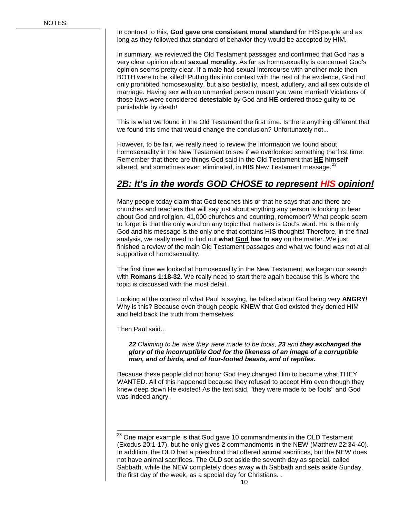In contrast to this, **God gave one consistent moral standard** for HIS people and as long as they followed that standard of behavior they would be accepted by HIM.

In summary, we reviewed the Old Testament passages and confirmed that God has a very clear opinion about **sexual morality**. As far as homosexuality is concerned God's opinion seems pretty clear. If a male had sexual intercourse with another male then BOTH were to be killed! Putting this into context with the rest of the evidence, God not only prohibited homosexuality, but also bestiality, incest, adultery, and all sex outside of marriage. Having sex with an unmarried person meant you were married! Violations of those laws were considered **detestable** by God and **HE ordered** those guilty to be punishable by death!

This is what we found in the Old Testament the first time. Is there anything different that we found this time that would change the conclusion? Unfortunately not...

However, to be fair, we really need to review the information we found about homosexuality in the New Testament to see if we overlooked something the first time. Remember that there are things God said in the Old Testament that **HE himself** altered, and sometimes even eliminated, in HIS New Testament message.<sup>[23](#page-11-0)</sup>

### *2B: It's in the words GOD CHOSE to represent HIS opinion!*

Many people today claim that God teaches this or that he says that and there are churches and teachers that will say just about anything any person is looking to hear about God and religion. 41,000 churches and counting, remember? What people seem to forget is that the only word on any topic that matters is God's word. He is the only God and his message is the only one that contains HIS thoughts! Therefore, in the final analysis, we really need to find out **what God has to say** on the matter. We just finished a review of the main Old Testament passages and what we found was not at all supportive of homosexuality.

The first time we looked at homosexuality in the New Testament, we began our search with **Romans 1:18-32**. We really need to start there again because this is where the topic is discussed with the most detail.

Looking at the context of what Paul is saying, he talked about God being very **ANGRY**! Why is this? Because even though people KNEW that God existed they denied HIM and held back the truth from themselves.

Then Paul said...

*22 Claiming to be wise they were made to be fools, 23 and they exchanged the glory of the incorruptible God for the likeness of an image of a corruptible man, and of birds, and of four-footed beasts, and of reptiles.*

Because these people did not honor God they changed Him to become what THEY WANTED. All of this happened because they refused to accept Him even though they knew deep down He existed! As the text said, "they were made to be fools" and God was indeed angry.

<span id="page-11-0"></span> $23$  One major example is that God gave 10 commandments in the OLD Testament (Exodus 20:1-17), but he only gives 2 commandments in the NEW (Matthew 22:34-40). In addition, the OLD had a priesthood that offered animal sacrifices, but the NEW does not have animal sacrifices. The OLD set aside the seventh day as special, called Sabbath, while the NEW completely does away with Sabbath and sets aside Sunday, the first day of the week, as a special day for Christians. .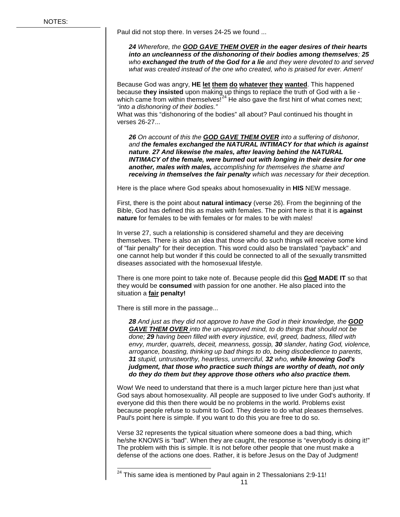Paul did not stop there. In verses 24-25 we found ...

*24 Wherefore, the GOD GAVE THEM OVER in the eager desires of their hearts into an uncleanness of the dishonoring of their bodies among themselves; 25 who exchanged the truth of the God for a lie and they were devoted to and served what was created instead of the one who created, who is praised for ever. Amen!*

Because God was angry, **HE let them do whatever they wanted**. This happened because **they insisted** upon making up things to replace the truth of God with a lie which came from within themselves! $24$  He also gave the first hint of what comes next; *"into a dishonoring of their bodies."*

What was this "dishonoring of the bodies" all about? Paul continued his thought in verses 26-27...

*26 On account of this the GOD GAVE THEM OVER into a suffering of dishonor, and the females exchanged the NATURAL INTIMACY for that which is against nature. 27 And likewise the males, after leaving behind the NATURAL INTIMACY of the female, were burned out with longing in their desire for one another, males with males, accomplishing for themselves the shame and receiving in themselves the fair penalty which was necessary for their deception.*

Here is the place where God speaks about homosexuality in **HIS** NEW message.

First, there is the point about **natural intimacy** (verse 26). From the beginning of the Bible, God has defined this as males with females. The point here is that it is **against nature** for females to be with females or for males to be with males!

In verse 27, such a relationship is considered shameful and they are deceiving themselves. There is also an idea that those who do such things will receive some kind of "fair penalty" for their deception. This word could also be translated "payback" and one cannot help but wonder if this could be connected to all of the sexually transmitted diseases associated with the homosexual lifestyle.

There is one more point to take note of. Because people did this **God MADE IT** so that they would be **consumed** with passion for one another. He also placed into the situation a **fair penalty!**

There is still more in the passage...

*28 And just as they did not approve to have the God in their knowledge, the GOD GAVE THEM OVER into the un-approved mind, to do things that should not be done; 29 having been filled with every injustice, evil, greed, badness, filled with envy, murder, quarrels, deceit, meanness, gossip, 30 slander, hating God, violence, arrogance, boasting, thinking up bad things to do, being disobedience to parents, 31 stupid, untrustworthy, heartless, unmerciful, 32 who, while knowing God's judgment, that those who practice such things are worthy of death, not only do they do them but they approve those others who also practice them.* 

Wow! We need to understand that there is a much larger picture here than just what God says about homosexuality. All people are supposed to live under God's authority. If everyone did this then there would be no problems in the world. Problems exist because people refuse to submit to God. They desire to do what pleases themselves. Paul's point here is simple. If you want to do this you are free to do so.

Verse 32 represents the typical situation where someone does a bad thing, which he/she KNOWS is "bad". When they are caught, the response is "everybody is doing it!" The problem with this is simple. It is not before other people that one must make a defense of the actions one does. Rather, it is before Jesus on the Day of Judgment!

<span id="page-12-0"></span> $24$  This same idea is mentioned by Paul again in 2 Thessalonians 2:9-11!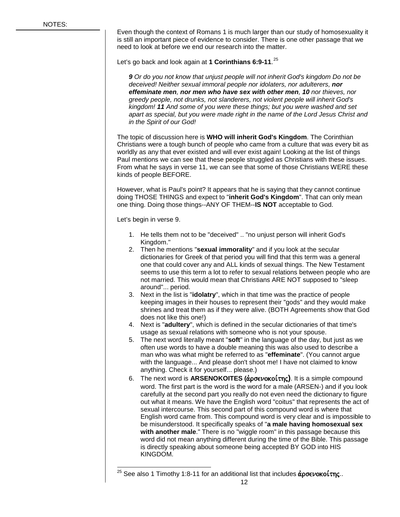Even though the context of Romans 1 is much larger than our study of homosexuality it is still an important piece of evidence to consider. There is one other passage that we need to look at before we end our research into the matter.

Let's go back and look again at **1 Corinthians 6:9-11**. [25](#page-13-0)

*9 Or do you not know that unjust people will not inherit God's kingdom Do not be deceived! Neither sexual immoral people nor idolaters, nor adulterers, nor effeminate men, nor men who have sex with other men, 10 nor thieves, nor greedy people, not drunks, not slanderers, not violent people will inherit God's kingdom! 11 And some of you were these things; but you were washed and set apart as special, but you were made right in the name of the Lord Jesus Christ and in the Spirit of our God!*

The topic of discussion here is **WHO will inherit God's Kingdom**. The Corinthian Christians were a tough bunch of people who came from a culture that was every bit as worldly as any that ever existed and will ever exist again! Looking at the list of things Paul mentions we can see that these people struggled as Christians with these issues. From what he says in verse 11, we can see that some of those Christians WERE these kinds of people BEFORE.

However, what is Paul's point? It appears that he is saying that they cannot continue doing THOSE THINGS and expect to "**inherit God's Kingdom**". That can only mean one thing. Doing those things--ANY OF THEM--**IS NOT** acceptable to God.

Let's begin in verse 9.

- 1. He tells them not to be "deceived" .. "no unjust person will inherit God's Kingdom."
- 2. Then he mentions "**sexual immorality**" and if you look at the secular dictionaries for Greek of that period you will find that this term was a general one that could cover any and ALL kinds of sexual things. The New Testament seems to use this term a lot to refer to sexual relations between people who are not married. This would mean that Christians ARE NOT supposed to "sleep around"... period.
- 3. Next in the list is "**idolatry**", which in that time was the practice of people keeping images in their houses to represent their "gods" and they would make shrines and treat them as if they were alive. (BOTH Agreements show that God does not like this one!)
- 4. Next is "**adultery**", which is defined in the secular dictionaries of that time's usage as sexual relations with someone who is not your spouse.
- 5. The next word literally meant "**soft**" in the language of the day, but just as we often use words to have a double meaning this was also used to describe a man who was what might be referred to as "**effeminate**". (You cannot argue with the language... And please don't shoot me! I have not claimed to know anything. Check it for yourself... please.)
- 6. The next word is **ARSENOKOITES (***άρσενοκοίτης***)**. It is a simple compound word. The first part is the word is the word for a male (ARSEN-) and if you look carefully at the second part you really do not even need the dictionary to figure out what it means. We have the English word "coitus" that represents the act of sexual intercourse. This second part of this compound word is where that English word came from. This compound word is very clear and is impossible to be misunderstood. It specifically speaks of "**a male having homosexual sex with another male**." There is no "wiggle room" in this passage because this word did not mean anything different during the time of the Bible. This passage is directly speaking about someone being accepted BY GOD into HIS KINGDOM.

<span id="page-13-0"></span><sup>&</sup>lt;sup>25</sup> See also 1 Timothy 1:8-11 for an additional list that includes  $\dot{\alpha}$ ρσενοκοίτης..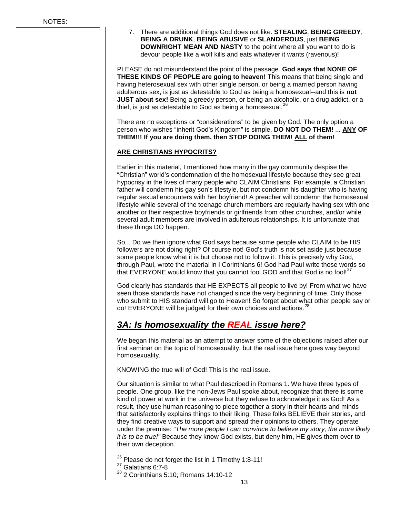7. There are additional things God does not like. **STEALING**, **BEING GREEDY**, **BEING A DRUNK**, **BEING ABUSIVE** or **SLANDEROUS**, just **BEING DOWNRIGHT MEAN AND NASTY** to the point where all you want to do is devour people like a wolf kills and eats whatever it wants (ravenous)!

PLEASE do not misunderstand the point of the passage. **God says that NONE OF THESE KINDS OF PEOPLE are going to heaven!** This means that being single and having heterosexual sex with other single person, or being a married person having adulterous sex, is just as detestable to God as being a homosexual--and this is **not JUST about sex!** Being a greedy person, or being an alcoholic, or a drug addict, or a thief, is just as detestable to God as being a homosexual. $^{26}$  $^{26}$  $^{26}$ 

There are no exceptions or "considerations" to be given by God. The only option a person who wishes "inherit God's Kingdom" is simple. **DO NOT DO THEM!** ... **ANY OF THEM!!! If you are doing them, then STOP DOING THEM! ALL of them!**

#### **ARE CHRISTIANS HYPOCRITS?**

Earlier in this material, I mentioned how many in the gay community despise the "Christian" world's condemnation of the homosexual lifestyle because they see great hypocrisy in the lives of many people who CLAIM Christians. For example, a Christian father will condemn his gay son's lifestyle, but not condemn his daughter who is having regular sexual encounters with her boyfriend! A preacher will condemn the homosexual lifestyle while several of the teenage church members are regularly having sex with one another or their respective boyfriends or girlfriends from other churches, and/or while several adult members are involved in adulterous relationships. It is unfortunate that these things DO happen.

So... Do we then ignore what God says because some people who CLAIM to be HIS followers are not doing right? Of course not! God's truth is not set aside just because some people know what it is but choose not to follow it. This is precisely why God, through Paul, wrote the material in I Corinthians 6! God had Paul write those words so that EVERYONE would know that you cannot fool GOD and that God is no fool!<sup>[27](#page-14-1)</sup>

God clearly has standards that HE EXPECTS all people to live by! From what we have seen those standards have not changed since the very beginning of time. Only those who submit to HIS standard will go to Heaven! So forget about what other people say or do! EVERYONE will be judged for their own choices and actions.<sup>[28](#page-14-2)</sup>

### *3A: Is homosexuality the REAL issue here?*

We began this material as an attempt to answer some of the objections raised after our first seminar on the topic of homosexuality, but the real issue here goes way beyond homosexuality.

KNOWING the true will of God! This is the real issue.

Our situation is similar to what Paul described in Romans 1. We have three types of people. One group, like the non-Jews Paul spoke about, recognize that there is some kind of power at work in the universe but they refuse to acknowledge it as God! As a result, they use human reasoning to piece together a story in their hearts and minds that satisfactorily explains things to their liking. These folks BELIEVE their stories, and they find creative ways to support and spread their opinions to others. They operate under the premise: *"The more people I can convince to believe my story, the more likely it is to be true!"* Because they know God exists, but deny him, HE gives them over to their own deception.

 $26$  Please do not forget the list in 1 Timothy 1:8-11!

<span id="page-14-1"></span><span id="page-14-0"></span> $27$  Galatians 6:7-8

<span id="page-14-2"></span><sup>28</sup> 2 Corinthians 5:10; Romans 14:10-12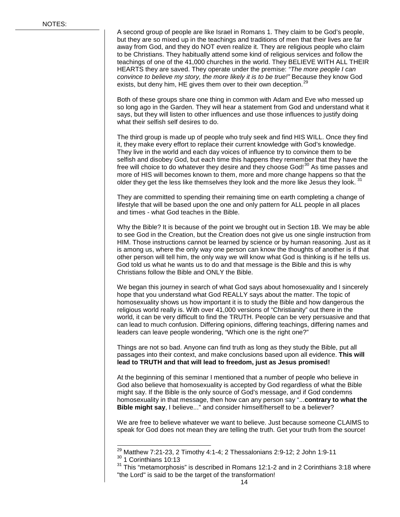A second group of people are like Israel in Romans 1. They claim to be God's people, but they are so mixed up in the teachings and traditions of men that their lives are far away from God, and they do NOT even realize it. They are religious people who claim to be Christians. They habitually attend some kind of religious services and follow the teachings of one of the 41,000 churches in the world. They BELIEVE WITH ALL THEIR HEARTS they are saved. They operate under the premise: *"The more people I can convince to believe my story, the more likely it is to be true!"* Because they know God exists, but deny him, HE gives them over to their own deception.<sup>[29](#page-15-0)</sup>

Both of these groups share one thing in common with Adam and Eve who messed up so long ago in the Garden. They will hear a statement from God and understand what it says, but they will listen to other influences and use those influences to justify doing what their selfish self desires to do.

The third group is made up of people who truly seek and find HIS WILL. Once they find it, they make every effort to replace their current knowledge with God's knowledge. They live in the world and each day voices of influence try to convince them to be selfish and disobey God, but each time this happens they remember that they have the free will choice to do whatever they desire and they choose God! $^{30}$  $^{30}$  $^{30}$  As time passes and more of HIS will becomes known to them, more and more change happens so that the older they get the less like themselves they look and the more like Jesus they look.  $31$ 

They are committed to spending their remaining time on earth completing a change of lifestyle that will be based upon the one and only pattern for ALL people in all places and times - what God teaches in the Bible.

Why the Bible? It is because of the point we brought out in Section 1B. We may be able to see God in the Creation, but the Creation does not give us one single instruction from HIM. Those instructions cannot be learned by science or by human reasoning. Just as it is among us, where the only way one person can know the thoughts of another is if that other person will tell him, the only way we will know what God is thinking is if he tells us. God told us what he wants us to do and that message is the Bible and this is why Christians follow the Bible and ONLY the Bible.

We began this journey in search of what God says about homosexuality and I sincerely hope that you understand what God REALLY says about the matter. The topic of homosexuality shows us how important it is to study the Bible and how dangerous the religious world really is. With over 41,000 versions of "Christianity" out there in the world, it can be very difficult to find the TRUTH. People can be very persuasive and that can lead to much confusion. Differing opinions, differing teachings, differing names and leaders can leave people wondering, "Which one is the right one?"

Things are not so bad. Anyone can find truth as long as they study the Bible, put all passages into their context, and make conclusions based upon all evidence. **This will lead to TRUTH and that will lead to freedom, just as Jesus promised!**

At the beginning of this seminar I mentioned that a number of people who believe in God also believe that homosexuality is accepted by God regardless of what the Bible might say. If the Bible is the only source of God's message, and if God condemns homosexuality in that message, then how can any person say "...**contrary to what the Bible might say**, I believe..." and consider himself/herself to be a believer?

We are free to believe whatever we want to believe. Just because someone CLAIMS to speak for God does not mean they are telling the truth. Get your truth from the source!

 $29$  Matthew 7:21-23, 2 Timothy 4:1-4; 2 Thessalonians 2:9-12; 2 John 1:9-11

<span id="page-15-2"></span><span id="page-15-1"></span><span id="page-15-0"></span><sup>30</sup> 1 Corinthians 10:13

 $31$  This "metamorphosis" is described in Romans 12:1-2 and in 2 Corinthians 3:18 where "the Lord" is said to be the target of the transformation!